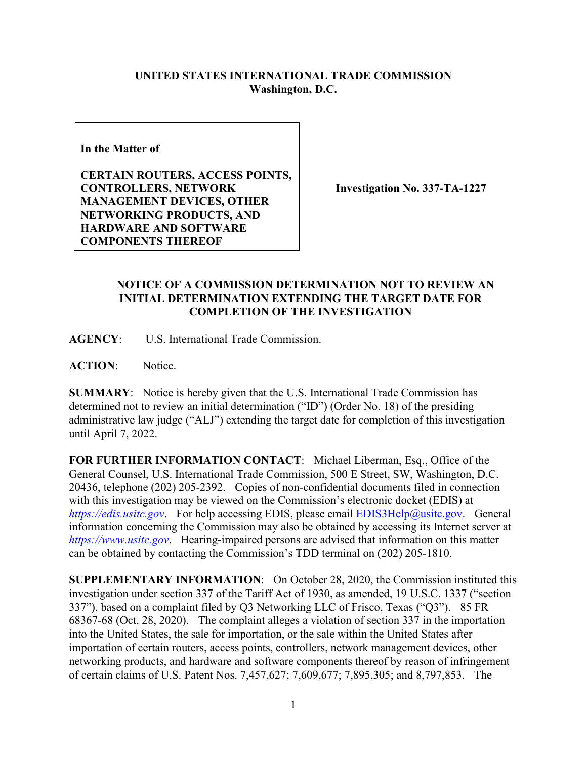## **UNITED STATES INTERNATIONAL TRADE COMMISSION Washington, D.C.**

**In the Matter of** 

**CERTAIN ROUTERS, ACCESS POINTS, CONTROLLERS, NETWORK MANAGEMENT DEVICES, OTHER NETWORKING PRODUCTS, AND HARDWARE AND SOFTWARE COMPONENTS THEREOF**

**Investigation No. 337-TA-1227**

## **NOTICE OF A COMMISSION DETERMINATION NOT TO REVIEW AN INITIAL DETERMINATION EXTENDING THE TARGET DATE FOR COMPLETION OF THE INVESTIGATION**

**AGENCY**: U.S. International Trade Commission.

**ACTION**: Notice.

**SUMMARY**: Notice is hereby given that the U.S. International Trade Commission has determined not to review an initial determination ("ID") (Order No. 18) of the presiding administrative law judge ("ALJ") extending the target date for completion of this investigation until April 7, 2022.

**FOR FURTHER INFORMATION CONTACT**: Michael Liberman, Esq., Office of the General Counsel, U.S. International Trade Commission, 500 E Street, SW, Washington, D.C. 20436, telephone (202) 205-2392. Copies of non-confidential documents filed in connection with this investigation may be viewed on the Commission's electronic docket (EDIS) at *[https://edis.usitc.gov](https://edis.usitc.gov/).* For help accessing EDIS, please email [EDIS3Help@usitc.gov.](mailto:EDIS3Help@usitc.gov) General information concerning the Commission may also be obtained by accessing its Internet server at *[https://www.usitc.gov](https://www.usitc.gov/)*. Hearing-impaired persons are advised that information on this matter can be obtained by contacting the Commission's TDD terminal on (202) 205-1810.

**SUPPLEMENTARY INFORMATION**: On October 28, 2020, the Commission instituted this investigation under section 337 of the Tariff Act of 1930, as amended, 19 U.S.C. 1337 ("section 337"), based on a complaint filed by Q3 Networking LLC of Frisco, Texas ("Q3"). 85 FR 68367-68 (Oct. 28, 2020). The complaint alleges a violation of section 337 in the importation into the United States, the sale for importation, or the sale within the United States after importation of certain routers, access points, controllers, network management devices, other networking products, and hardware and software components thereof by reason of infringement of certain claims of U.S. Patent Nos. 7,457,627; 7,609,677; 7,895,305; and 8,797,853. The